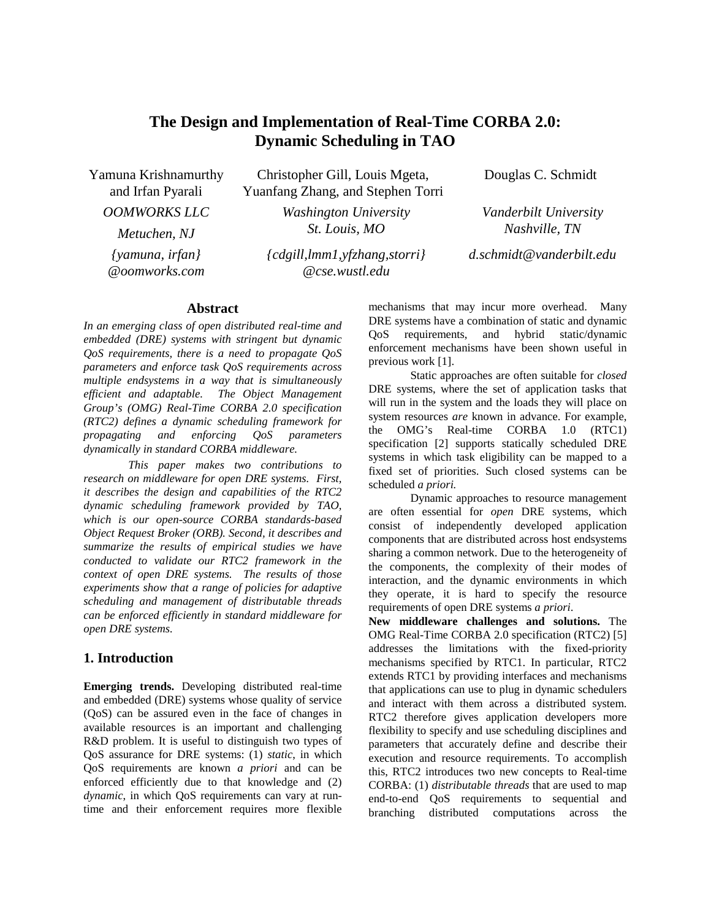# **The Design and Implementation of Real-Time CORBA 2.0: Dynamic Scheduling in TAO**

Yamuna Krishnamurthy and Irfan Pyarali *OOMWORKS LLC Metuchen, NJ {yamuna, irfan} @oomworks.com*

Christopher Gill, Louis Mgeta, Yuanfang Zhang, and Stephen Torri

> *Washington University St. Louis, MO*

*{cdgill,lmm1,yfzhang,storri} @cse.wustl.edu*

Douglas C. Schmidt

*Vanderbilt University Nashville, TN*

*d.schmidt@vanderbilt.edu*

### **Abstract**

*In an emerging class of open distributed real-time and embedded (DRE) systems with stringent but dynamic QoS requirements, there is a need to propagate QoS parameters and enforce task QoS requirements across multiple endsystems in a way that is simultaneously efficient and adaptable. The Object Management Group's (OMG) Real-Time CORBA 2.0 specification (RTC2) defines a dynamic scheduling framework for propagating and enforcing QoS parameters dynamically in standard CORBA middleware.*

*This paper makes two contributions to research on middleware for open DRE systems. First, it describes the design and capabilities of the RTC2 dynamic scheduling framework provided by TAO, which is our open-source CORBA standards-based Object Request Broker (ORB). Second, it describes and summarize the results of empirical studies we have conducted to validate our RTC2 framework in the context of open DRE systems. The results of those experiments show that a range of policies for adaptive scheduling and management of distributable threads can be enforced efficiently in standard middleware for open DRE systems.*

# **1. Introduction**

**Emerging trends.** Developing distributed real-time and embedded (DRE) systems whose quality of service (QoS) can be assured even in the face of changes in available resources is an important and challenging R&D problem. It is useful to distinguish two types of QoS assurance for DRE systems: (1) *static*, in which QoS requirements are known *a priori* and can be enforced efficiently due to that knowledge and (2) *dynamic*, in which QoS requirements can vary at runtime and their enforcement requires more flexible

mechanisms that may incur more overhead. Many DRE systems have a combination of static and dynamic QoS requirements, and hybrid static/dynamic enforcement mechanisms have been shown useful in previous work [1].

Static approaches are often suitable for *closed* DRE systems, where the set of application tasks that will run in the system and the loads they will place on system resources *are* known in advance. For example, the OMG's Real-time CORBA 1.0 (RTC1) specification [2] supports statically scheduled DRE systems in which task eligibility can be mapped to a fixed set of priorities. Such closed systems can be scheduled *a priori.*

Dynamic approaches to resource management are often essential for *open* DRE systems, which consist of independently developed application components that are distributed across host endsystems sharing a common network. Due to the heterogeneity of the components, the complexity of their modes of interaction, and the dynamic environments in which they operate, it is hard to specify the resource requirements of open DRE systems *a priori*.

**New middleware challenges and solutions.** The OMG Real-Time CORBA 2.0 specification (RTC2) [5] addresses the limitations with the fixed-priority mechanisms specified by RTC1. In particular, RTC2 extends RTC1 by providing interfaces and mechanisms that applications can use to plug in dynamic schedulers and interact with them across a distributed system. RTC2 therefore gives application developers more flexibility to specify and use scheduling disciplines and parameters that accurately define and describe their execution and resource requirements. To accomplish this, RTC2 introduces two new concepts to Real-time CORBA: (1) *distributable threads* that are used to map end-to-end QoS requirements to sequential and branching distributed computations across the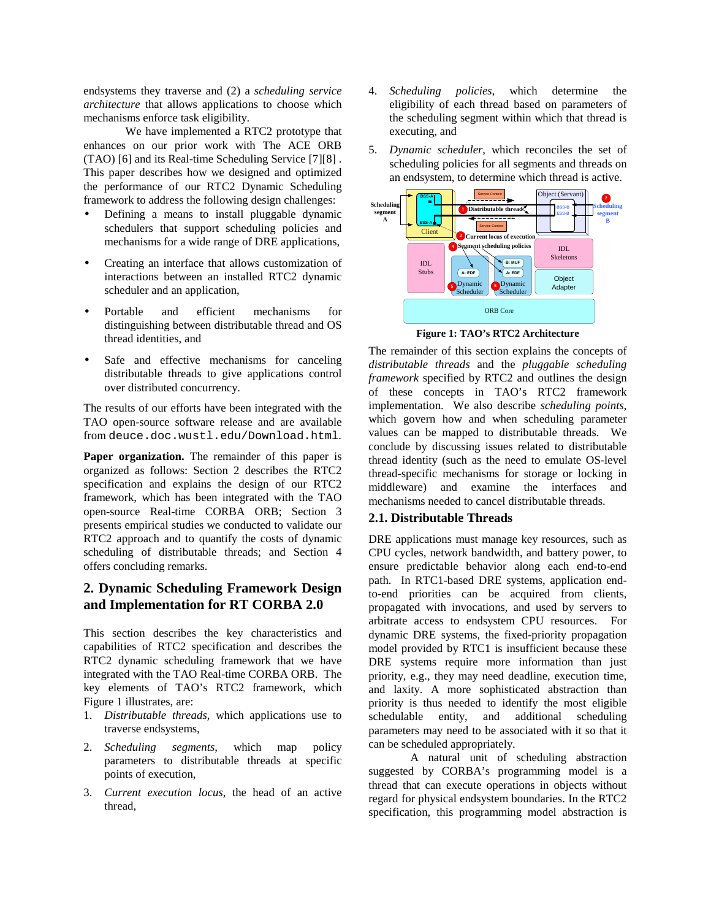endsystems they traverse and (2) a *scheduling service architecture* that allows applications to choose which mechanisms enforce task eligibility.

We have implemented a RTC2 prototype that enhances on our prior work with The ACE ORB (TAO) [6] and its Real-time Scheduling Service [7][8] . This paper describes how we designed and optimized the performance of our RTC2 Dynamic Scheduling framework to address the following design challenges:

- Defining a means to install pluggable dynamic schedulers that support scheduling policies and mechanisms for a wide range of DRE applications,
- Creating an interface that allows customization of interactions between an installed RTC2 dynamic scheduler and an application,
- Portable and efficient mechanisms for distinguishing between distributable thread and OS thread identities, and
- Safe and effective mechanisms for canceling distributable threads to give applications control over distributed concurrency.

The results of our efforts have been integrated with the TAO open-source software release and are available from deuce.doc.wustl.edu/Download.html.

**Paper organization.** The remainder of this paper is organized as follows: Section 2 describes the RTC2 specification and explains the design of our RTC2 framework, which has been integrated with the TAO open-source Real-time CORBA ORB; Section 3 presents empirical studies we conducted to validate our RTC2 approach and to quantify the costs of dynamic scheduling of distributable threads; and Section 4 offers concluding remarks.

# **2. Dynamic Scheduling Framework Design and Implementation for RT CORBA 2.0**

This section describes the key characteristics and capabilities of RTC2 specification and describes the RTC2 dynamic scheduling framework that we have integrated with the TAO Real-time CORBA ORB. The key elements of TAO's RTC2 framework, which Figure 1 illustrates, are:

- 1. *Distributable threads*, which applications use to traverse endsystems,
- 2. *Scheduling segments*, which map policy parameters to distributable threads at specific points of execution,
- 3. *Current execution locus*, the head of an active thread,
- 4. *Scheduling policies*, which determine the eligibility of each thread based on parameters of the scheduling segment within which that thread is executing, and
- 5. *Dynamic scheduler*, which reconciles the set of scheduling policies for all segments and threads on an endsystem, to determine which thread is active.



**Figure 1: TAO's RTC2 Architecture**

The remainder of this section explains the concepts of *distributable threads* and the *pluggable scheduling framework* specified by RTC2 and outlines the design of these concepts in TAO's RTC2 framework implementation. We also describe *scheduling points*, which govern how and when scheduling parameter values can be mapped to distributable threads. We conclude by discussing issues related to distributable thread identity (such as the need to emulate OS-level thread-specific mechanisms for storage or locking in middleware) and examine the interfaces and mechanisms needed to cancel distributable threads.

### **2.1. Distributable Threads**

DRE applications must manage key resources, such as CPU cycles, network bandwidth, and battery power, to ensure predictable behavior along each end-to-end path. In RTC1-based DRE systems, application endto-end priorities can be acquired from clients, propagated with invocations, and used by servers to arbitrate access to endsystem CPU resources. For dynamic DRE systems, the fixed-priority propagation model provided by RTC1 is insufficient because these DRE systems require more information than just priority, e.g., they may need deadline, execution time, and laxity. A more sophisticated abstraction than priority is thus needed to identify the most eligible schedulable entity, and additional scheduling parameters may need to be associated with it so that it can be scheduled appropriately.

A natural unit of scheduling abstraction suggested by CORBA's programming model is a thread that can execute operations in objects without regard for physical endsystem boundaries. In the RTC2 specification, this programming model abstraction is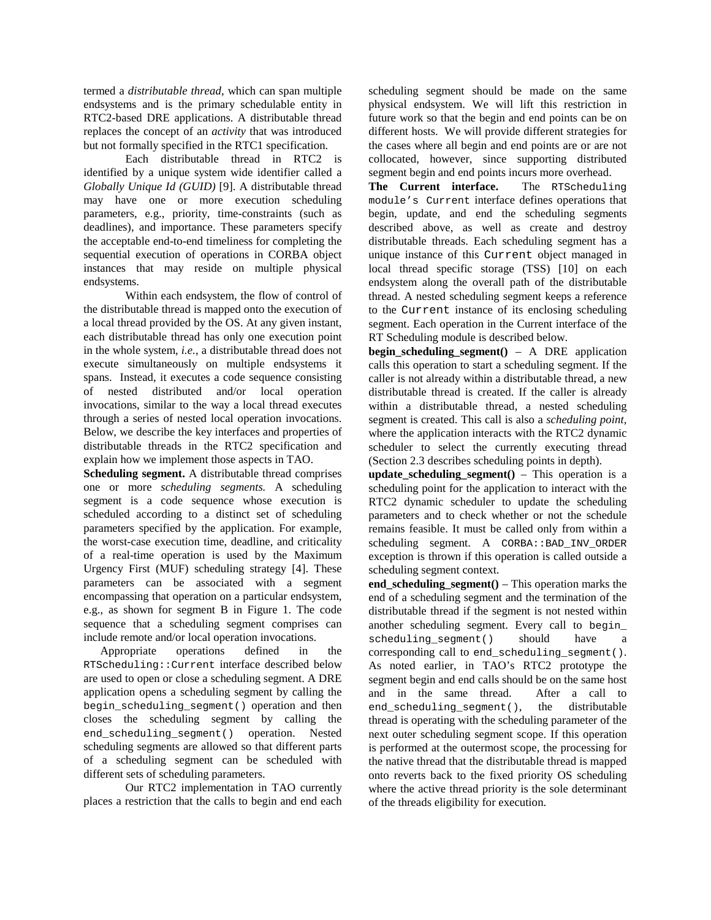termed a *distributable thread*, which can span multiple endsystems and is the primary schedulable entity in RTC2-based DRE applications. A distributable thread replaces the concept of an *activity* that was introduced but not formally specified in the RTC1 specification.

Each distributable thread in RTC2 is identified by a unique system wide identifier called a *Globally Unique Id (GUID)* [9]. A distributable thread may have one or more execution scheduling parameters, e.g., priority, time-constraints (such as deadlines), and importance. These parameters specify the acceptable end-to-end timeliness for completing the sequential execution of operations in CORBA object instances that may reside on multiple physical endsystems.

Within each endsystem, the flow of control of the distributable thread is mapped onto the execution of a local thread provided by the OS. At any given instant, each distributable thread has only one execution point in the whole system, *i.e.*, a distributable thread does not execute simultaneously on multiple endsystems it spans. Instead, it executes a code sequence consisting of nested distributed and/or local operation invocations, similar to the way a local thread executes through a series of nested local operation invocations. Below, we describe the key interfaces and properties of distributable threads in the RTC2 specification and explain how we implement those aspects in TAO.

**Scheduling segment.** A distributable thread comprises one or more *scheduling segments.* A scheduling segment is a code sequence whose execution is scheduled according to a distinct set of scheduling parameters specified by the application. For example, the worst-case execution time, deadline, and criticality of a real-time operation is used by the Maximum Urgency First (MUF) scheduling strategy [4]. These parameters can be associated with a segment encompassing that operation on a particular endsystem, e.g., as shown for segment B in Figure 1. The code sequence that a scheduling segment comprises can include remote and/or local operation invocations.

Appropriate operations defined in the RTScheduling::Current interface described below are used to open or close a scheduling segment. A DRE application opens a scheduling segment by calling the begin\_scheduling\_segment() operation and then closes the scheduling segment by calling the end\_scheduling\_segment() operation. Nested scheduling segments are allowed so that different parts of a scheduling segment can be scheduled with different sets of scheduling parameters.

Our RTC2 implementation in TAO currently places a restriction that the calls to begin and end each

scheduling segment should be made on the same physical endsystem. We will lift this restriction in future work so that the begin and end points can be on different hosts. We will provide different strategies for the cases where all begin and end points are or are not collocated, however, since supporting distributed segment begin and end points incurs more overhead.

**The Current interface.** The RTScheduling module's Current interface defines operations that begin, update, and end the scheduling segments described above, as well as create and destroy distributable threads. Each scheduling segment has a unique instance of this Current object managed in local thread specific storage (TSS) [10] on each endsystem along the overall path of the distributable thread. A nested scheduling segment keeps a reference to the Current instance of its enclosing scheduling segment. Each operation in the Current interface of the RT Scheduling module is described below.

**begin\_scheduling\_segment()** – A DRE application calls this operation to start a scheduling segment. If the caller is not already within a distributable thread, a new distributable thread is created. If the caller is already within a distributable thread, a nested scheduling segment is created. This call is also a *scheduling point*, where the application interacts with the RTC2 dynamic scheduler to select the currently executing thread (Section 2.3 describes scheduling points in depth).

**update** scheduling segment() – This operation is a scheduling point for the application to interact with the RTC2 dynamic scheduler to update the scheduling parameters and to check whether or not the schedule remains feasible. It must be called only from within a scheduling segment. A CORBA::BAD\_INV\_ORDER exception is thrown if this operation is called outside a scheduling segment context.

**end\_scheduling\_segment()** – This operation marks the end of a scheduling segment and the termination of the distributable thread if the segment is not nested within another scheduling segment. Every call to begin\_ scheduling segment() should have a corresponding call to end\_scheduling\_segment(). As noted earlier, in TAO's RTC2 prototype the segment begin and end calls should be on the same host and in the same thread. After a call to end\_scheduling\_segment(), the distributable thread is operating with the scheduling parameter of the next outer scheduling segment scope. If this operation is performed at the outermost scope, the processing for the native thread that the distributable thread is mapped onto reverts back to the fixed priority OS scheduling where the active thread priority is the sole determinant of the threads eligibility for execution.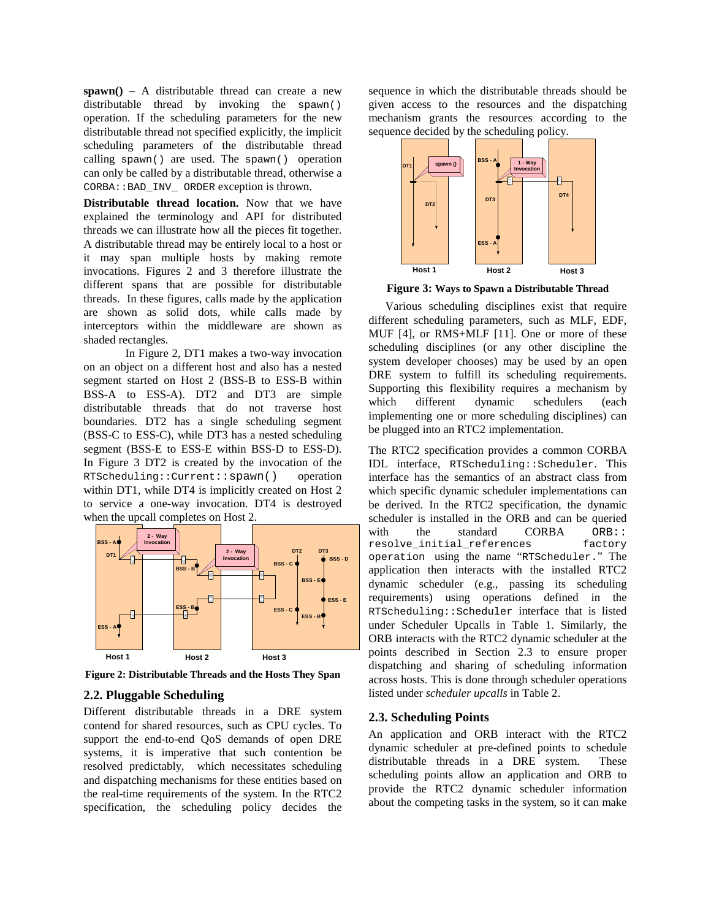**spawn()** – A distributable thread can create a new distributable thread by invoking the spawn() operation. If the scheduling parameters for the new distributable thread not specified explicitly, the implicit scheduling parameters of the distributable thread calling spawn() are used. The spawn() operation can only be called by a distributable thread, otherwise a CORBA::BAD\_INV\_ ORDER exception is thrown.

**Distributable thread location.** Now that we have explained the terminology and API for distributed threads we can illustrate how all the pieces fit together. A distributable thread may be entirely local to a host or it may span multiple hosts by making remote invocations. Figures 2 and 3 therefore illustrate the different spans that are possible for distributable threads. In these figures, calls made by the application are shown as solid dots, while calls made by interceptors within the middleware are shown as shaded rectangles.

In Figure 2, DT1 makes a two-way invocation on an object on a different host and also has a nested segment started on Host 2 (BSS-B to ESS-B within BSS-A to ESS-A). DT2 and DT3 are simple distributable threads that do not traverse host boundaries. DT2 has a single scheduling segment (BSS-C to ESS-C), while DT3 has a nested scheduling segment (BSS-E to ESS-E within BSS-D to ESS-D). In Figure 3 DT2 is created by the invocation of the RTScheduling::Current::spawn() operation within DT1, while DT4 is implicitly created on Host 2 to service a one-way invocation. DT4 is destroyed when the upcall completes on Host 2.



**Figure 2: Distributable Threads and the Hosts They Span**

#### **2.2. Pluggable Scheduling**

Different distributable threads in a DRE system contend for shared resources, such as CPU cycles. To support the end-to-end QoS demands of open DRE systems, it is imperative that such contention be resolved predictably, which necessitates scheduling and dispatching mechanisms for these entities based on the real-time requirements of the system. In the RTC2 specification, the scheduling policy decides the

sequence in which the distributable threads should be given access to the resources and the dispatching mechanism grants the resources according to the sequence decided by the scheduling policy.



**Figure 3: Ways to Spawn a Distributable Thread**

Various scheduling disciplines exist that require different scheduling parameters, such as MLF, EDF, MUF [4], or RMS+MLF [11]. One or more of these scheduling disciplines (or any other discipline the system developer chooses) may be used by an open DRE system to fulfill its scheduling requirements. Supporting this flexibility requires a mechanism by which different dynamic schedulers (each implementing one or more scheduling disciplines) can be plugged into an RTC2 implementation.

The RTC2 specification provides a common CORBA IDL interface, RTScheduling::Scheduler. This interface has the semantics of an abstract class from which specific dynamic scheduler implementations can be derived. In the RTC2 specification, the dynamic scheduler is installed in the ORB and can be queried with the standard CORBA ORB::<br>resolve\_initial\_references factory resolve initial references operation using the name "RTScheduler." The application then interacts with the installed RTC2 dynamic scheduler (e.g., passing its scheduling requirements) using operations defined in the RTScheduling::Scheduler interface that is listed under Scheduler Upcalls in Table 1. Similarly, the ORB interacts with the RTC2 dynamic scheduler at the points described in Section 2.3 to ensure proper dispatching and sharing of scheduling information across hosts. This is done through scheduler operations listed under *scheduler upcalls* in Table 2.

### **2.3. Scheduling Points**

An application and ORB interact with the RTC2 dynamic scheduler at pre-defined points to schedule distributable threads in a DRE system. These scheduling points allow an application and ORB to provide the RTC2 dynamic scheduler information about the competing tasks in the system, so it can make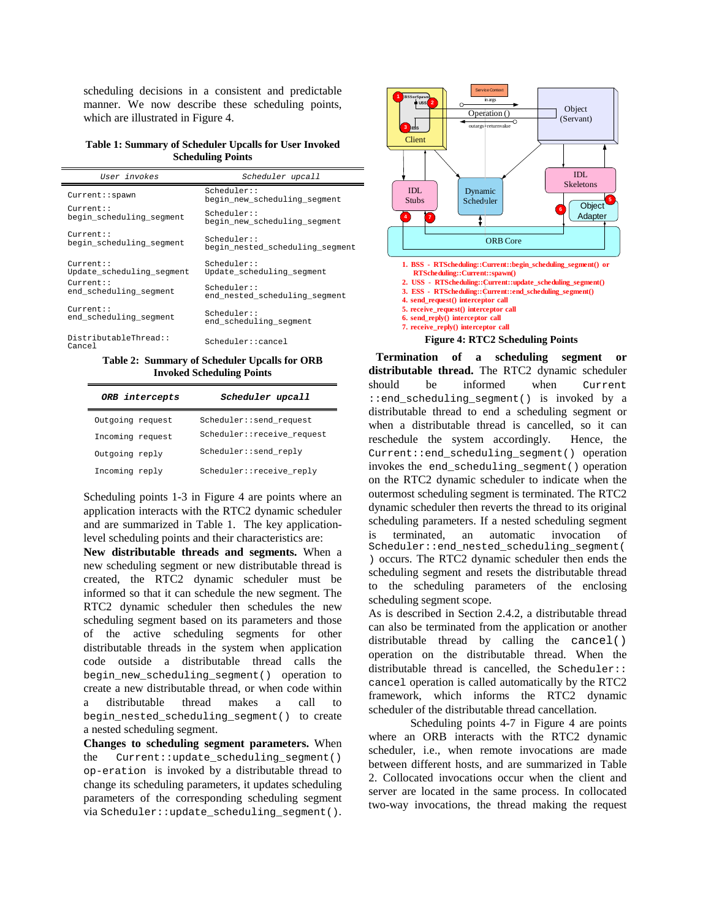scheduling decisions in a consistent and predictable manner. We now describe these scheduling points, which are illustrated in Figure 4.

**Table 1: Summary of Scheduler Upcalls for User Invoked Scheduling Points**

| User invokes                    | Scheduler upcall                           |  |  |
|---------------------------------|--------------------------------------------|--|--|
| Current::spawn                  | Scheduler:<br>begin new scheduling segment |  |  |
| $C$ urrent $:$ :                | Scheduler:                                 |  |  |
| begin_scheduling_segment        | begin new scheduling segment               |  |  |
| $Current:$ :                    | Scheduler:                                 |  |  |
| begin scheduling segment        | begin nested scheduling segment            |  |  |
| $Current:$ :                    | Scheduler:                                 |  |  |
| Update scheduling segment       | Update scheduling segment                  |  |  |
| $Current:$ :                    | Scheduler:                                 |  |  |
| end scheduling segment          | end nested scheduling segment              |  |  |
| $Current:$ :                    | Scheduler:                                 |  |  |
| end scheduling segment          | end scheduling segment                     |  |  |
| DistributableThread::<br>Cancel | Scheduler::cancel                          |  |  |

**Table 2: Summary of Scheduler Upcalls for ORB Invoked Scheduling Points**

| ORB intercepts   | Scheduler upcall            |
|------------------|-----------------------------|
| Outgoing request | Scheduler::send request     |
| Incoming request | Scheduler:: receive request |
| Outgoing reply   | Scheduler::send reply       |
| Incoming reply   | Scheduler::receive reply    |

Scheduling points 1-3 in Figure 4 are points where an application interacts with the RTC2 dynamic scheduler and are summarized in Table 1. The key applicationlevel scheduling points and their characteristics are:

**New distributable threads and segments.** When a new scheduling segment or new distributable thread is created, the RTC2 dynamic scheduler must be informed so that it can schedule the new segment. The RTC2 dynamic scheduler then schedules the new scheduling segment based on its parameters and those of the active scheduling segments for other distributable threads in the system when application code outside a distributable thread calls the begin\_new\_scheduling\_segment() operation to create a new distributable thread, or when code within a distributable thread makes a call to begin\_nested\_scheduling\_segment() to create a nested scheduling segment.

**Changes to scheduling segment parameters.** When the  $Current::update$  scheduling segment() op-eration is invoked by a distributable thread to change its scheduling parameters, it updates scheduling parameters of the corresponding scheduling segment via Scheduler::update\_scheduling\_segment().



**Termination of a scheduling segment or distributable thread.** The RTC2 dynamic scheduler should be informed when Current :: end scheduling segment() is invoked by a distributable thread to end a scheduling segment or when a distributable thread is cancelled, so it can reschedule the system accordingly. Hence, the Current::end\_scheduling\_segment() operation invokes the end\_scheduling\_segment() operation on the RTC2 dynamic scheduler to indicate when the outermost scheduling segment is terminated. The RTC2 dynamic scheduler then reverts the thread to its original scheduling parameters. If a nested scheduling segment is terminated, an automatic invocation of Scheduler::end\_nested\_scheduling\_segment( ) occurs. The RTC2 dynamic scheduler then ends the scheduling segment and resets the distributable thread to the scheduling parameters of the enclosing scheduling segment scope.

As is described in Section 2.4.2, a distributable thread can also be terminated from the application or another distributable thread by calling the cancel() operation on the distributable thread. When the distributable thread is cancelled, the Scheduler:: cancel operation is called automatically by the RTC2 framework, which informs the RTC2 dynamic scheduler of the distributable thread cancellation.

Scheduling points 4-7 in Figure 4 are points where an ORB interacts with the RTC2 dynamic scheduler, i.e., when remote invocations are made between different hosts, and are summarized in Table 2. Collocated invocations occur when the client and server are located in the same process. In collocated two-way invocations, the thread making the request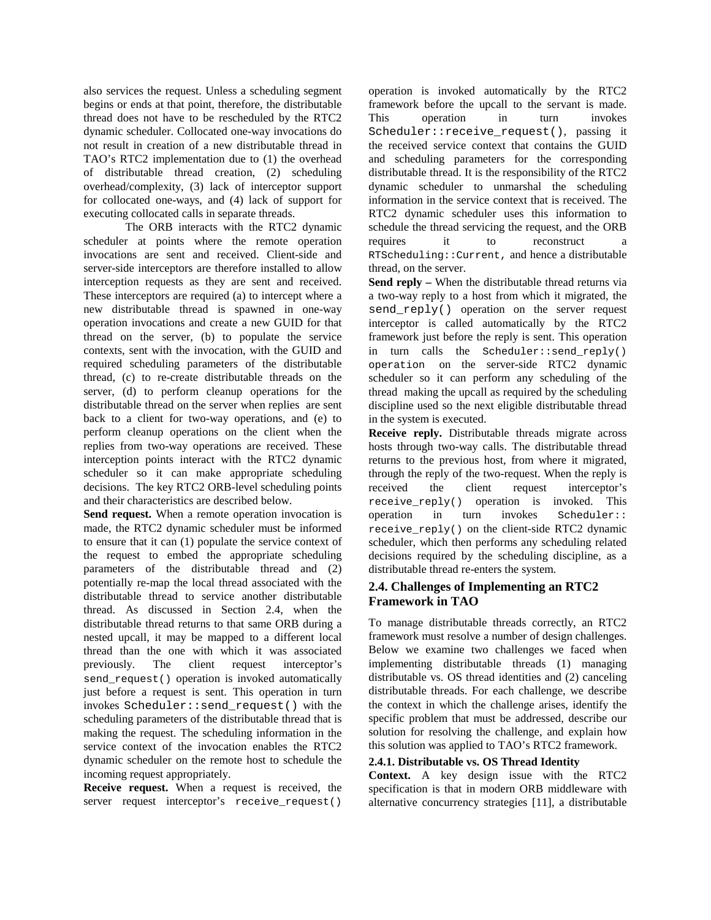also services the request. Unless a scheduling segment begins or ends at that point, therefore, the distributable thread does not have to be rescheduled by the RTC2 dynamic scheduler. Collocated one-way invocations do not result in creation of a new distributable thread in TAO's RTC2 implementation due to (1) the overhead of distributable thread creation, (2) scheduling overhead/complexity, (3) lack of interceptor support for collocated one-ways, and (4) lack of support for executing collocated calls in separate threads.

The ORB interacts with the RTC2 dynamic scheduler at points where the remote operation invocations are sent and received. Client-side and server-side interceptors are therefore installed to allow interception requests as they are sent and received. These interceptors are required (a) to intercept where a new distributable thread is spawned in one-way operation invocations and create a new GUID for that thread on the server, (b) to populate the service contexts, sent with the invocation, with the GUID and required scheduling parameters of the distributable thread, (c) to re-create distributable threads on the server, (d) to perform cleanup operations for the distributable thread on the server when replies are sent back to a client for two-way operations, and (e) to perform cleanup operations on the client when the replies from two-way operations are received. These interception points interact with the RTC2 dynamic scheduler so it can make appropriate scheduling decisions. The key RTC2 ORB-level scheduling points and their characteristics are described below.

**Send request.** When a remote operation invocation is made, the RTC2 dynamic scheduler must be informed to ensure that it can (1) populate the service context of the request to embed the appropriate scheduling parameters of the distributable thread and (2) potentially re-map the local thread associated with the distributable thread to service another distributable thread. As discussed in Section 2.4, when the distributable thread returns to that same ORB during a nested upcall, it may be mapped to a different local thread than the one with which it was associated previously. The client request interceptor's send\_request() operation is invoked automatically just before a request is sent. This operation in turn invokes Scheduler::send\_request() with the scheduling parameters of the distributable thread that is making the request. The scheduling information in the service context of the invocation enables the RTC2 dynamic scheduler on the remote host to schedule the incoming request appropriately.

**Receive request.** When a request is received, the server request interceptor's receive\_request()

operation is invoked automatically by the RTC2 framework before the upcall to the servant is made. This operation in turn invokes Scheduler::receive\_request(), passing it the received service context that contains the GUID and scheduling parameters for the corresponding distributable thread. It is the responsibility of the RTC2 dynamic scheduler to unmarshal the scheduling information in the service context that is received. The RTC2 dynamic scheduler uses this information to schedule the thread servicing the request, and the ORB requires it to reconstruct a RTScheduling::Current, and hence a distributable thread, on the server.

**Send reply –** When the distributable thread returns via a two-way reply to a host from which it migrated, the send\_reply() operation on the server request interceptor is called automatically by the RTC2 framework just before the reply is sent. This operation in turn calls the Scheduler::send\_reply() operation on the server-side RTC2 dynamic scheduler so it can perform any scheduling of the thread making the upcall as required by the scheduling discipline used so the next eligible distributable thread in the system is executed.

**Receive reply.** Distributable threads migrate across hosts through two-way calls. The distributable thread returns to the previous host, from where it migrated, through the reply of the two-request. When the reply is received the client request interceptor's receive\_reply() operation is invoked. This operation in turn invokes Scheduler:: receive\_reply() on the client-side RTC2 dynamic scheduler, which then performs any scheduling related decisions required by the scheduling discipline, as a distributable thread re-enters the system.

# **2.4. Challenges of Implementing an RTC2 Framework in TAO**

To manage distributable threads correctly, an RTC2 framework must resolve a number of design challenges. Below we examine two challenges we faced when implementing distributable threads (1) managing distributable vs. OS thread identities and (2) canceling distributable threads. For each challenge, we describe the context in which the challenge arises, identify the specific problem that must be addressed, describe our solution for resolving the challenge, and explain how this solution was applied to TAO's RTC2 framework.

#### **2.4.1. Distributable vs. OS Thread Identity**

**Context.** A key design issue with the RTC2 specification is that in modern ORB middleware with alternative concurrency strategies [11], a distributable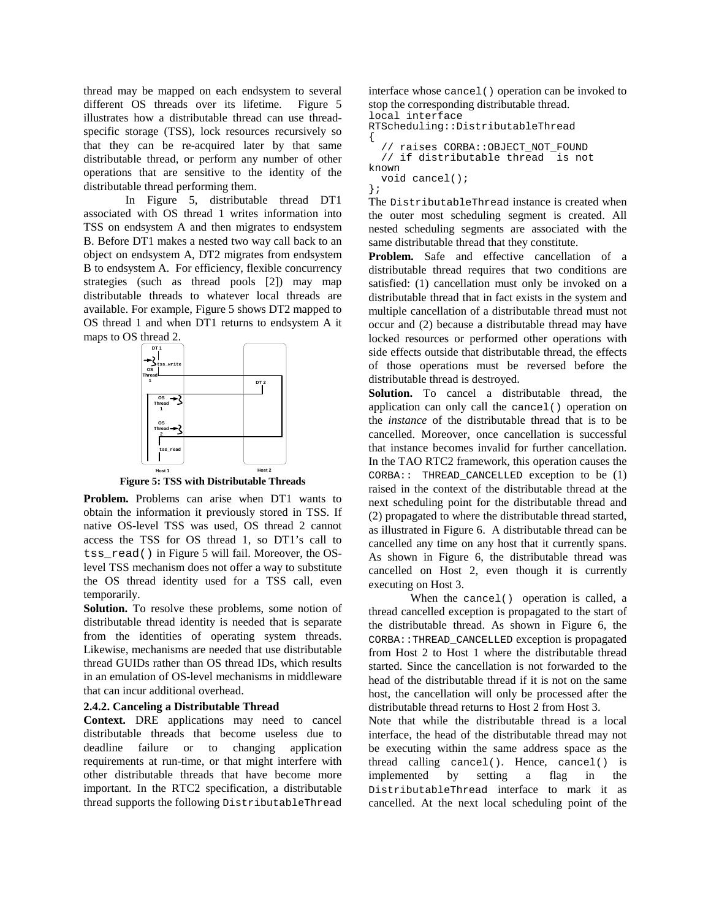thread may be mapped on each endsystem to several different OS threads over its lifetime. Figure 5 illustrates how a distributable thread can use threadspecific storage (TSS), lock resources recursively so that they can be re-acquired later by that same distributable thread, or perform any number of other operations that are sensitive to the identity of the distributable thread performing them.

In Figure 5, distributable thread DT1 associated with OS thread 1 writes information into TSS on endsystem A and then migrates to endsystem B. Before DT1 makes a nested two way call back to an object on endsystem A, DT2 migrates from endsystem B to endsystem A. For efficiency, flexible concurrency strategies (such as thread pools [2]) may map distributable threads to whatever local threads are available. For example, Figure 5 shows DT2 mapped to OS thread 1 and when DT1 returns to endsystem A it maps to OS thread 2.



**Figure 5: TSS with Distributable Threads**

**Problem.** Problems can arise when DT1 wants to obtain the information it previously stored in TSS. If native OS-level TSS was used, OS thread 2 cannot access the TSS for OS thread 1, so DT1's call to tss\_read() in Figure 5 will fail. Moreover, the OSlevel TSS mechanism does not offer a way to substitute the OS thread identity used for a TSS call, even temporarily.

**Solution.** To resolve these problems, some notion of distributable thread identity is needed that is separate from the identities of operating system threads. Likewise, mechanisms are needed that use distributable thread GUIDs rather than OS thread IDs, which results in an emulation of OS-level mechanisms in middleware that can incur additional overhead.

#### **2.4.2. Canceling a Distributable Thread**

**Context.** DRE applications may need to cancel distributable threads that become useless due to deadline failure or to changing application requirements at run-time, or that might interfere with other distributable threads that have become more important. In the RTC2 specification, a distributable thread supports the following DistributableThread interface whose cancel() operation can be invoked to stop the corresponding distributable thread.

```
local interface
RTScheduling::DistributableThread
{
  // raises CORBA::OBJECT_NOT_FOUND
  // if distributable thread is not
known
  void cancel();
};
```
The DistributableThread instance is created when the outer most scheduling segment is created. All nested scheduling segments are associated with the same distributable thread that they constitute.

**Problem.** Safe and effective cancellation of a distributable thread requires that two conditions are satisfied: (1) cancellation must only be invoked on a distributable thread that in fact exists in the system and multiple cancellation of a distributable thread must not occur and (2) because a distributable thread may have locked resources or performed other operations with side effects outside that distributable thread, the effects of those operations must be reversed before the distributable thread is destroyed.

**Solution.** To cancel a distributable thread, the application can only call the cancel() operation on the *instance* of the distributable thread that is to be cancelled. Moreover, once cancellation is successful that instance becomes invalid for further cancellation. In the TAO RTC2 framework, this operation causes the CORBA:: THREAD\_CANCELLED exception to be (1) raised in the context of the distributable thread at the next scheduling point for the distributable thread and (2) propagated to where the distributable thread started, as illustrated in Figure 6. A distributable thread can be cancelled any time on any host that it currently spans. As shown in Figure 6, the distributable thread was cancelled on Host 2, even though it is currently executing on Host 3.

When the cancel() operation is called, a thread cancelled exception is propagated to the start of the distributable thread. As shown in Figure 6, the CORBA::THREAD\_CANCELLED exception is propagated from Host 2 to Host 1 where the distributable thread started. Since the cancellation is not forwarded to the head of the distributable thread if it is not on the same host, the cancellation will only be processed after the distributable thread returns to Host 2 from Host 3.

Note that while the distributable thread is a local interface, the head of the distributable thread may not be executing within the same address space as the thread calling cancel(). Hence, cancel() is implemented by setting a flag in the DistributableThread interface to mark it as cancelled. At the next local scheduling point of the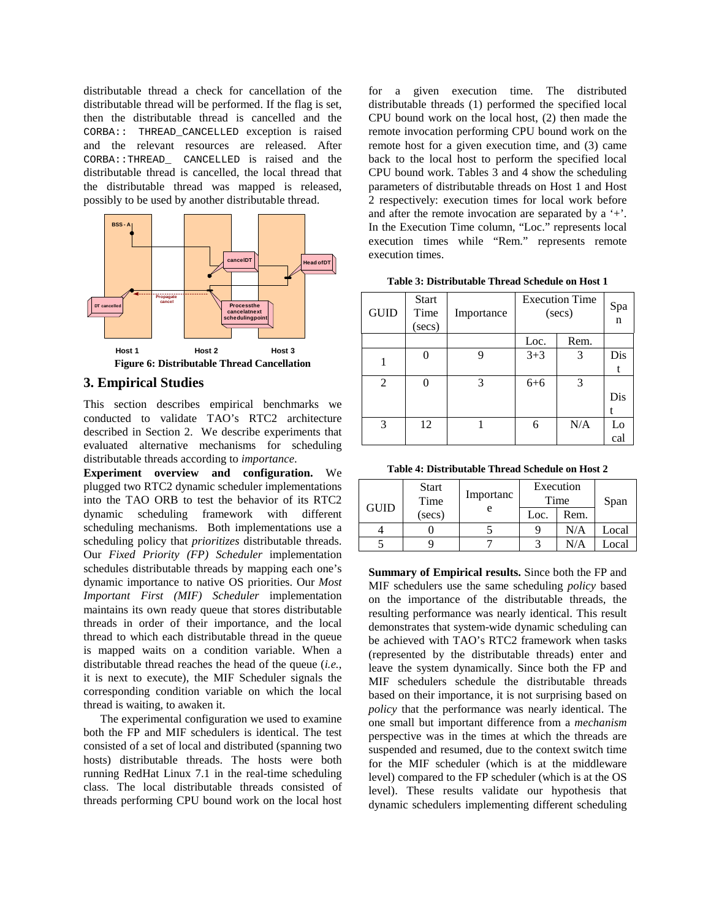distributable thread a check for cancellation of the distributable thread will be performed. If the flag is set, then the distributable thread is cancelled and the CORBA:: THREAD\_CANCELLED exception is raised and the relevant resources are released. After CORBA::THREAD\_ CANCELLED is raised and the distributable thread is cancelled, the local thread that the distributable thread was mapped is released, possibly to be used by another distributable thread.



### **3. Empirical Studies**

This section describes empirical benchmarks we conducted to validate TAO's RTC2 architecture described in Section 2. We describe experiments that evaluated alternative mechanisms for scheduling distributable threads according to *importance*.

**Experiment overview and configuration.** We plugged two RTC2 dynamic scheduler implementations into the TAO ORB to test the behavior of its RTC2 dynamic scheduling framework with different scheduling mechanisms. Both implementations use a scheduling policy that *prioritizes* distributable threads. Our *Fixed Priority (FP) Scheduler* implementation schedules distributable threads by mapping each one's dynamic importance to native OS priorities. Our *Most Important First (MIF) Scheduler* implementation maintains its own ready queue that stores distributable threads in order of their importance, and the local thread to which each distributable thread in the queue is mapped waits on a condition variable. When a distributable thread reaches the head of the queue (*i.e.*, it is next to execute), the MIF Scheduler signals the corresponding condition variable on which the local thread is waiting, to awaken it.

The experimental configuration we used to examine both the FP and MIF schedulers is identical. The test consisted of a set of local and distributed (spanning two hosts) distributable threads. The hosts were both running RedHat Linux 7.1 in the real-time scheduling class. The local distributable threads consisted of threads performing CPU bound work on the local host for a given execution time. The distributed distributable threads (1) performed the specified local CPU bound work on the local host, (2) then made the remote invocation performing CPU bound work on the remote host for a given execution time, and (3) came back to the local host to perform the specified local CPU bound work. Tables 3 and 4 show the scheduling parameters of distributable threads on Host 1 and Host 2 respectively: execution times for local work before and after the remote invocation are separated by a '+'. In the Execution Time column, "Loc." represents local execution times while "Rem." represents remote execution times.

**Table 3: Distributable Thread Schedule on Host 1**

| <b>GUID</b>    | <b>Start</b><br>Time<br>$(\sec s)$ | Importance | <b>Execution Time</b><br>(secs) |      | Spa<br>$\mathbf n$ |
|----------------|------------------------------------|------------|---------------------------------|------|--------------------|
|                |                                    |            | Loc.                            | Rem. |                    |
|                |                                    | 9          | $3 + 3$                         | 3    | Dis                |
|                |                                    |            |                                 |      |                    |
| $\overline{2}$ |                                    | 3          | $6 + 6$                         | 3    |                    |
|                |                                    |            |                                 |      | Dis                |
|                |                                    |            |                                 |      |                    |
| 3              | 12                                 |            | 6                               | N/A  | Lo                 |
|                |                                    |            |                                 |      | cal                |

**Table 4: Distributable Thread Schedule on Host 2**

| <b>GUID</b> | <b>Start</b><br>Time | Importanc<br>e | Execution<br>Time |      |       | Span |
|-------------|----------------------|----------------|-------------------|------|-------|------|
| (secs)      |                      |                | Loc.              | Rem. |       |      |
|             |                      |                |                   | N/A  | Local |      |
|             |                      |                |                   | N/A  | Local |      |

**Summary of Empirical results.** Since both the FP and MIF schedulers use the same scheduling *policy* based on the importance of the distributable threads, the resulting performance was nearly identical. This result demonstrates that system-wide dynamic scheduling can be achieved with TAO's RTC2 framework when tasks (represented by the distributable threads) enter and leave the system dynamically. Since both the FP and MIF schedulers schedule the distributable threads based on their importance, it is not surprising based on *policy* that the performance was nearly identical. The one small but important difference from a *mechanism* perspective was in the times at which the threads are suspended and resumed, due to the context switch time for the MIF scheduler (which is at the middleware level) compared to the FP scheduler (which is at the OS level). These results validate our hypothesis that dynamic schedulers implementing different scheduling